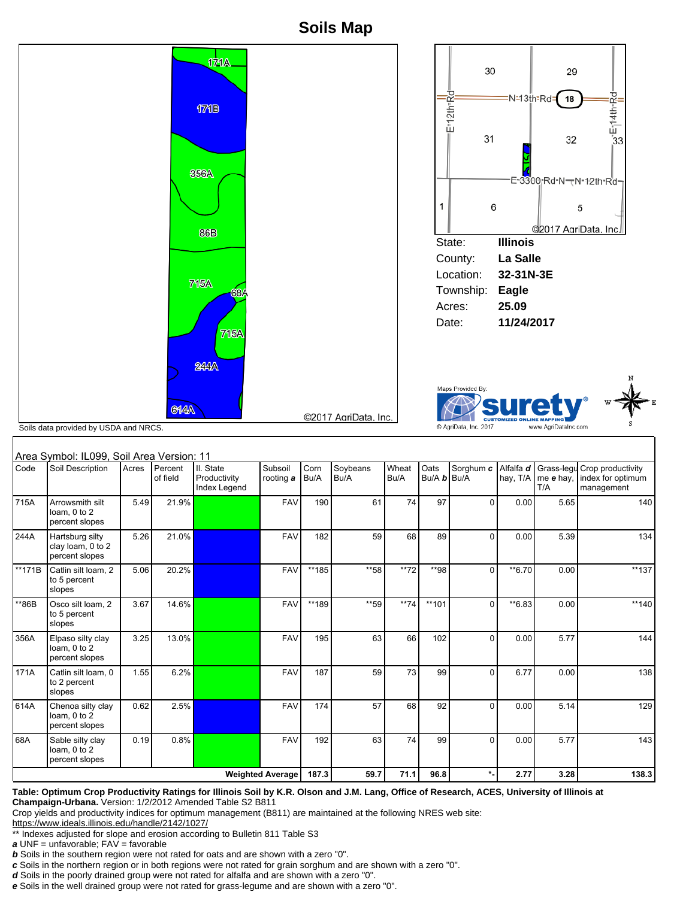**Soils Map**



## Area Symbol: IL099, Soil Area Version: 11

| Area Symbol: IL099, Soil Area Version: 11 |                                                        |       |                     |                                           |                      |              |                  |               |                     |              |                       |      |                                                                           |
|-------------------------------------------|--------------------------------------------------------|-------|---------------------|-------------------------------------------|----------------------|--------------|------------------|---------------|---------------------|--------------|-----------------------|------|---------------------------------------------------------------------------|
| Code                                      | Soil Description                                       | Acres | Percent<br>of field | II. State<br>Productivity<br>Index Legend | Subsoil<br>rooting a | Corn<br>Bu/A | Soybeans<br>Bu/A | Wheat<br>Bu/A | Oats<br>Bu/A b Bu/A | Sorghum c    | Alfalfa d<br>hay, T/A | T/A  | Grass-legu Crop productivity<br>me e hay, index for optimum<br>management |
| 715A                                      | Arrowsmith silt<br>loam, 0 to 2<br>percent slopes      | 5.49  | 21.9%               |                                           | <b>FAV</b>           | 190          | 61               | 74            | 97                  | $\Omega$     | 0.00                  | 5.65 | 140                                                                       |
| 244A                                      | Hartsburg silty<br>clay loam, 0 to 2<br>percent slopes | 5.26  | 21.0%               |                                           | <b>FAV</b>           | 182          | 59               | 68            | 89                  | $\Omega$     | 0.00                  | 5.39 | 134                                                                       |
| **171B                                    | Catlin silt loam, 2<br>to 5 percent<br>slopes          | 5.06  | 20.2%               |                                           | <b>FAV</b>           | **185        | **58             | **72          | **98                | $\Omega$     | **6.70                | 0.00 | **137                                                                     |
| **86B                                     | Osco silt loam, 2<br>to 5 percent<br>slopes            | 3.67  | 14.6%               |                                           | <b>FAV</b>           | **189        | **59             | $**74$        | **101               | $\Omega$     | **6.83                | 0.00 | $**140$                                                                   |
| 356A                                      | Elpaso silty clay<br>loam, 0 to 2<br>percent slopes    | 3.25  | 13.0%               |                                           | <b>FAV</b>           | 195          | 63               | 66            | 102                 | $\mathbf{0}$ | 0.00                  | 5.77 | 144                                                                       |
| 171A                                      | Catlin silt loam, 0<br>to 2 percent<br>slopes          | 1.55  | 6.2%                |                                           | <b>FAV</b>           | 187          | 59               | 73            | 99                  | $\Omega$     | 6.77                  | 0.00 | 138                                                                       |
| 614A                                      | Chenoa silty clay<br>loam. 0 to 2<br>percent slopes    | 0.62  | 2.5%                |                                           | <b>FAV</b>           | 174          | 57               | 68            | 92                  | $\Omega$     | 0.00                  | 5.14 | 129                                                                       |
| 68A                                       | Sable silty clay<br>loam, 0 to 2<br>percent slopes     | 0.19  | 0.8%                |                                           | <b>FAV</b>           | 192          | 63               | 74            | 99                  | $\Omega$     | 0.00                  | 5.77 | 143                                                                       |
| <b>Weighted Average</b>                   |                                                        |       |                     |                                           |                      | 187.3        | 59.7             | 71.1          | 96.8                | $\star$      | 2.77                  | 3.28 | 138.3                                                                     |

## **Table: Optimum Crop Productivity Ratings for Illinois Soil by K.R. Olson and J.M. Lang, Office of Research, ACES, University of Illinois at Champaign-Urbana.** Version: 1/2/2012 Amended Table S2 B811

Crop yields and productivity indices for optimum management (B811) are maintained at the following NRES web site:

https://www.ideals.illinois.edu/handle/2142/1027/

\*\* Indexes adjusted for slope and erosion according to Bulletin 811 Table S3

**a** UNF = unfavorable; FAV = favorable

**b** Soils in the southern region were not rated for oats and are shown with a zero "0".

**c** Soils in the northern region or in both regions were not rated for grain sorghum and are shown with a zero "0".

**d** Soils in the poorly drained group were not rated for alfalfa and are shown with a zero "0".

**e** Soils in the well drained group were not rated for grass-legume and are shown with a zero "0".